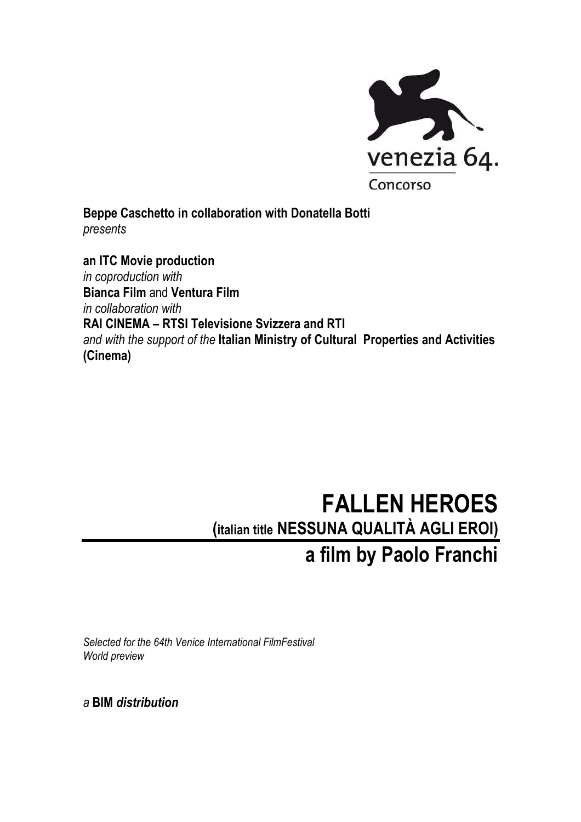

Beppe Caschetto in collaboration with Donatella Botti presents

an ITC Movie production in coproduction with Bianca Film and Ventura Film in collaboration with RAI CINEMA – RTSI Televisione Svizzera and RTI and with the support of the Italian Ministry of Cultural Properties and Activities (Cinema)

# FALLEN HEROES (italian title NESSUNA QUALITÀ AGLI EROI) a film by Paolo Franchi

Selected for the 64th Venice International FilmFestival World preview

a BIM distribution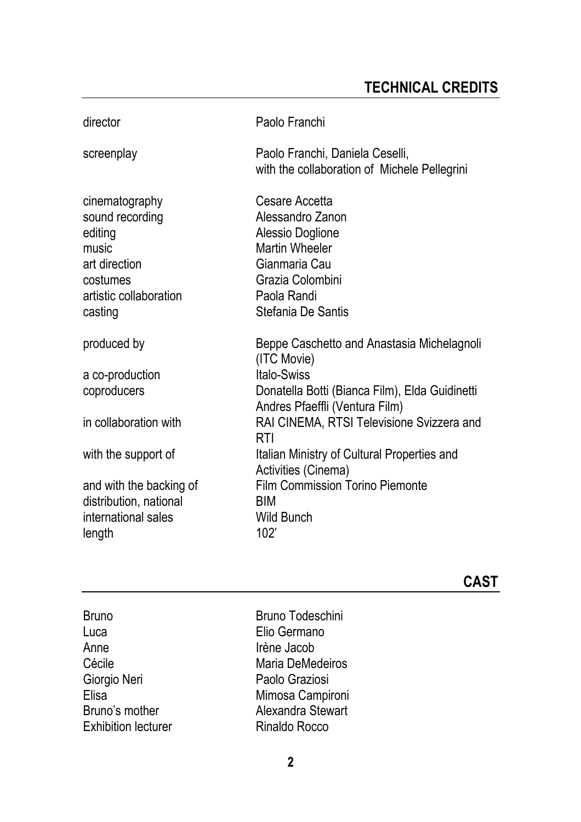# TECHNICAL CREDITS

| director                                                                                                                | Paolo Franchi                                                                                                                                             |
|-------------------------------------------------------------------------------------------------------------------------|-----------------------------------------------------------------------------------------------------------------------------------------------------------|
| screenplay                                                                                                              | Paolo Franchi, Daniela Ceselli,<br>with the collaboration of Michele Pellegrini                                                                           |
| cinematography<br>sound recording<br>editing<br>music<br>art direction<br>costumes<br>artistic collaboration<br>casting | Cesare Accetta<br>Alessandro Zanon<br>Alessio Doglione<br><b>Martin Wheeler</b><br>Gianmaria Cau<br>Grazia Colombini<br>Paola Randi<br>Stefania De Santis |
| produced by                                                                                                             | Beppe Caschetto and Anastasia Michelagnoli<br>(ITC Movie)                                                                                                 |
| a co-production<br>coproducers                                                                                          | <b>Italo-Swiss</b><br>Donatella Botti (Bianca Film), Elda Guidinetti<br>Andres Pfaeffli (Ventura Film)                                                    |
| in collaboration with                                                                                                   | RAI CINEMA, RTSI Televisione Svizzera and<br>RTI                                                                                                          |
| with the support of                                                                                                     | Italian Ministry of Cultural Properties and<br>Activities (Cinema)                                                                                        |
| and with the backing of<br>distribution, national<br>international sales<br>length                                      | <b>Film Commission Torino Piemonte</b><br>BIM<br><b>Wild Bunch</b><br>102'                                                                                |
|                                                                                                                         | CAST                                                                                                                                                      |
| <b>Bruno</b>                                                                                                            | <b>Bruno Todeschini</b>                                                                                                                                   |
| Luca                                                                                                                    | Elio Germano                                                                                                                                              |
| Anne                                                                                                                    | Irène Jacob                                                                                                                                               |

Cécile Maria DeMedeiros<br>Giorgio Neri Paolo Graziosi Giorgio Neri **Paolo Graziosi**<br>Elisa **Mimosa Campi** Elisa<br>Bruno's mother **Mimosa Campironi**<br>Alexandra Stewart Exhibition lecturer

Alexandra Stewart<br>Rinaldo Rocco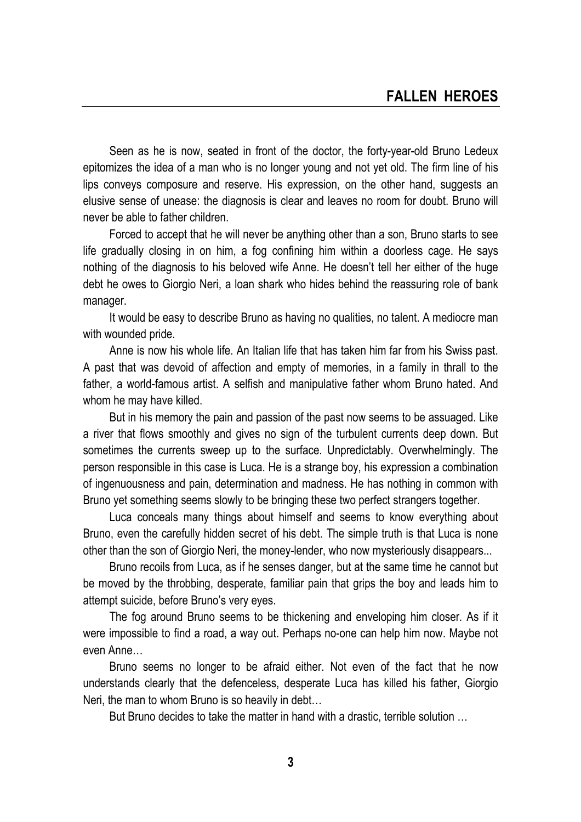Seen as he is now, seated in front of the doctor, the forty-year-old Bruno Ledeux epitomizes the idea of a man who is no longer young and not yet old. The firm line of his lips conveys composure and reserve. His expression, on the other hand, suggests an elusive sense of unease: the diagnosis is clear and leaves no room for doubt. Bruno will never be able to father children.

Forced to accept that he will never be anything other than a son, Bruno starts to see life gradually closing in on him, a fog confining him within a doorless cage. He says nothing of the diagnosis to his beloved wife Anne. He doesn't tell her either of the huge debt he owes to Giorgio Neri, a loan shark who hides behind the reassuring role of bank manager.

It would be easy to describe Bruno as having no qualities, no talent. A mediocre man with wounded pride.

Anne is now his whole life. An Italian life that has taken him far from his Swiss past. A past that was devoid of affection and empty of memories, in a family in thrall to the father, a world-famous artist. A selfish and manipulative father whom Bruno hated. And whom he may have killed.

But in his memory the pain and passion of the past now seems to be assuaged. Like a river that flows smoothly and gives no sign of the turbulent currents deep down. But sometimes the currents sweep up to the surface. Unpredictably. Overwhelmingly. The person responsible in this case is Luca. He is a strange boy, his expression a combination of ingenuousness and pain, determination and madness. He has nothing in common with Bruno yet something seems slowly to be bringing these two perfect strangers together.

Luca conceals many things about himself and seems to know everything about Bruno, even the carefully hidden secret of his debt. The simple truth is that Luca is none other than the son of Giorgio Neri, the money-lender, who now mysteriously disappears...

Bruno recoils from Luca, as if he senses danger, but at the same time he cannot but be moved by the throbbing, desperate, familiar pain that grips the boy and leads him to attempt suicide, before Bruno's very eyes.

The fog around Bruno seems to be thickening and enveloping him closer. As if it were impossible to find a road, a way out. Perhaps no-one can help him now. Maybe not even Anne…

Bruno seems no longer to be afraid either. Not even of the fact that he now understands clearly that the defenceless, desperate Luca has killed his father, Giorgio Neri, the man to whom Bruno is so heavily in debt…

But Bruno decides to take the matter in hand with a drastic, terrible solution …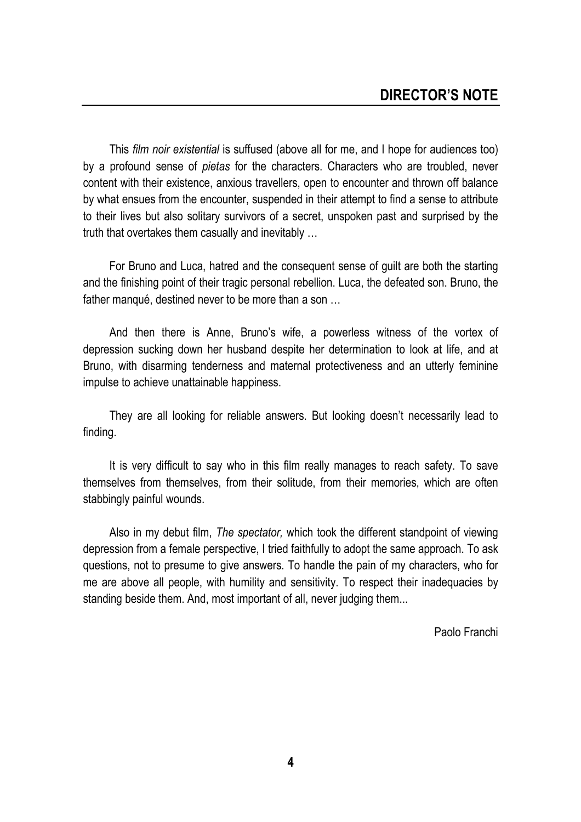This film noir existential is suffused (above all for me, and I hope for audiences too) by a profound sense of pietas for the characters. Characters who are troubled, never content with their existence, anxious travellers, open to encounter and thrown off balance by what ensues from the encounter, suspended in their attempt to find a sense to attribute to their lives but also solitary survivors of a secret, unspoken past and surprised by the truth that overtakes them casually and inevitably …

For Bruno and Luca, hatred and the consequent sense of guilt are both the starting and the finishing point of their tragic personal rebellion. Luca, the defeated son. Bruno, the father manqué, destined never to be more than a son …

And then there is Anne, Bruno's wife, a powerless witness of the vortex of depression sucking down her husband despite her determination to look at life, and at Bruno, with disarming tenderness and maternal protectiveness and an utterly feminine impulse to achieve unattainable happiness.

They are all looking for reliable answers. But looking doesn't necessarily lead to finding.

It is very difficult to say who in this film really manages to reach safety. To save themselves from themselves, from their solitude, from their memories, which are often stabbingly painful wounds.

Also in my debut film, The spectator, which took the different standpoint of viewing depression from a female perspective, I tried faithfully to adopt the same approach. To ask questions, not to presume to give answers. To handle the pain of my characters, who for me are above all people, with humility and sensitivity. To respect their inadequacies by standing beside them. And, most important of all, never judging them...

Paolo Franchi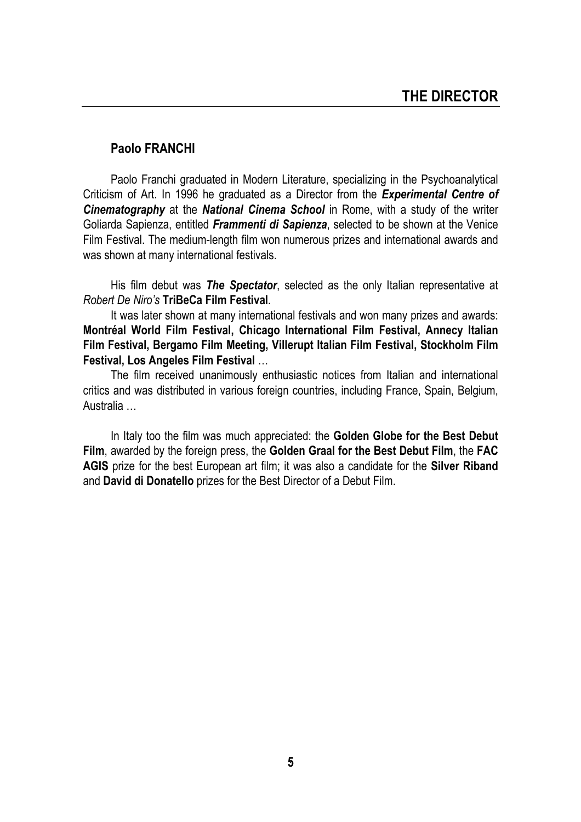# Paolo FRANCHI

Paolo Franchi graduated in Modern Literature, specializing in the Psychoanalytical Criticism of Art. In 1996 he graduated as a Director from the **Experimental Centre of Cinematography** at the **National Cinema School** in Rome, with a study of the writer Goliarda Sapienza, entitled Frammenti di Sapienza, selected to be shown at the Venice Film Festival. The medium-length film won numerous prizes and international awards and was shown at many international festivals.

His film debut was **The Spectator**, selected as the only Italian representative at Robert De Niro's TriBeCa Film Festival.

It was later shown at many international festivals and won many prizes and awards: Montréal World Film Festival, Chicago International Film Festival, Annecy Italian Film Festival, Bergamo Film Meeting, Villerupt Italian Film Festival, Stockholm Film Festival, Los Angeles Film Festival …

The film received unanimously enthusiastic notices from Italian and international critics and was distributed in various foreign countries, including France, Spain, Belgium, Australia …

In Italy too the film was much appreciated: the Golden Globe for the Best Debut Film, awarded by the foreign press, the Golden Graal for the Best Debut Film, the FAC AGIS prize for the best European art film; it was also a candidate for the Silver Riband and David di Donatello prizes for the Best Director of a Debut Film.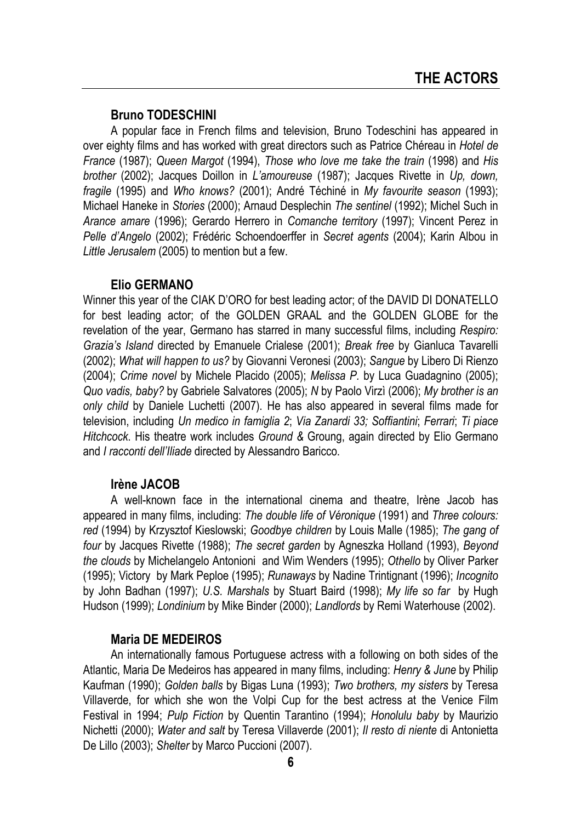# Bruno TODESCHINI

A popular face in French films and television, Bruno Todeschini has appeared in over eighty films and has worked with great directors such as Patrice Chéreau in Hotel de France (1987); Queen Margot (1994), Those who love me take the train (1998) and His brother (2002); Jacques Doillon in L'amoureuse (1987); Jacques Rivette in Up, down, fragile (1995) and Who knows? (2001); André Téchiné in My favourite season (1993); Michael Haneke in Stories (2000); Arnaud Desplechin The sentinel (1992); Michel Such in Arance amare (1996); Gerardo Herrero in Comanche territory (1997); Vincent Perez in Pelle d'Angelo (2002); Frédéric Schoendoerffer in Secret agents (2004); Karin Albou in Little Jerusalem (2005) to mention but a few.

# Elio GERMANO

Winner this year of the CIAK D'ORO for best leading actor; of the DAVID DI DONATELLO for best leading actor; of the GOLDEN GRAAL and the GOLDEN GLOBE for the revelation of the year. Germano has starred in many successful films, including Respiro: Grazia's Island directed by Emanuele Crialese (2001); Break free by Gianluca Tavarelli (2002); What will happen to us? by Giovanni Veronesi (2003); Sangue by Libero Di Rienzo (2004); Crime novel by Michele Placido (2005); Melissa P. by Luca Guadagnino (2005); Quo vadis, baby? by Gabriele Salvatores (2005); N by Paolo Virzì (2006); My brother is an only child by Daniele Luchetti (2007). He has also appeared in several films made for television, including Un medico in famiglia 2; Via Zanardi 33; Soffiantini; Ferrari; Ti piace Hitchcock. His theatre work includes Ground & Groung, again directed by Elio Germano and I racconti dell'Iliade directed by Alessandro Baricco.

# Irène JACOB

A well-known face in the international cinema and theatre, Irène Jacob has appeared in many films, including: The double life of Véronique (1991) and Three colours: red (1994) by Krzysztof Kieslowski; Goodbye children by Louis Malle (1985); The gang of four by Jacques Rivette (1988); The secret garden by Agneszka Holland (1993), Beyond the clouds by Michelangelo Antonioni and Wim Wenders (1995); Othello by Oliver Parker (1995); Victory by Mark Peploe (1995); Runaways by Nadine Trintignant (1996); Incognito by John Badhan (1997); U.S. Marshals by Stuart Baird (1998); My life so far by Hugh Hudson (1999); Londinium by Mike Binder (2000); Landlords by Remi Waterhouse (2002).

# Maria DE MEDEIROS

An internationally famous Portuguese actress with a following on both sides of the Atlantic, Maria De Medeiros has appeared in many films, including: Henry & June by Philip Kaufman (1990); Golden balls by Bigas Luna (1993); Two brothers, my sisters by Teresa Villaverde, for which she won the Volpi Cup for the best actress at the Venice Film Festival in 1994; Pulp Fiction by Quentin Tarantino (1994); Honolulu baby by Maurizio Nichetti (2000); Water and salt by Teresa Villaverde (2001); Il resto di niente di Antonietta De Lillo (2003); Shelter by Marco Puccioni (2007).